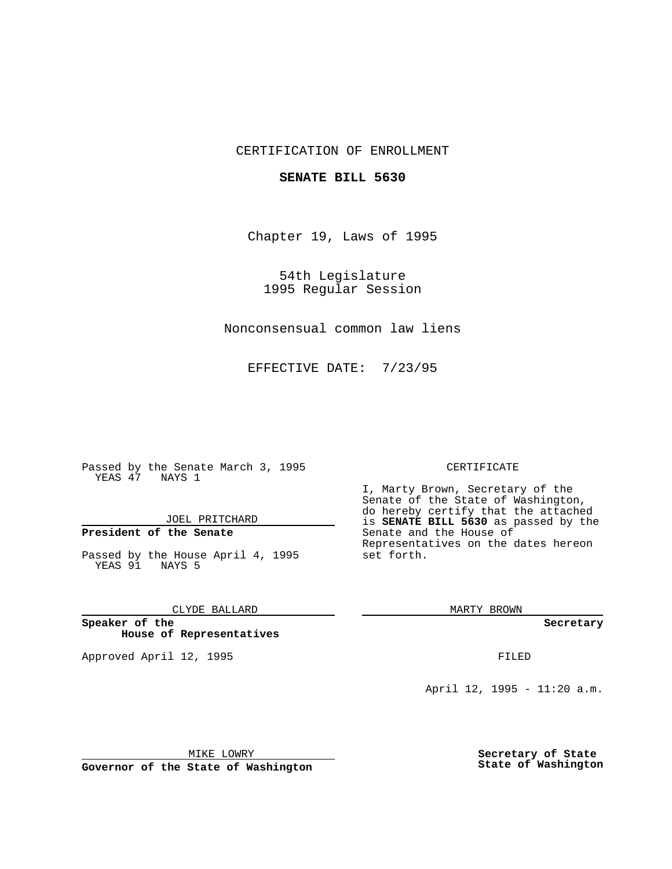### CERTIFICATION OF ENROLLMENT

#### **SENATE BILL 5630**

Chapter 19, Laws of 1995

54th Legislature 1995 Regular Session

Nonconsensual common law liens

EFFECTIVE DATE: 7/23/95

Passed by the Senate March 3, 1995 YEAS 47 NAYS 1

JOEL PRITCHARD

## **President of the Senate**

Passed by the House April 4, 1995 YEAS 91 NAYS 5

CLYDE BALLARD

**Speaker of the House of Representatives**

Approved April 12, 1995 FILED

#### CERTIFICATE

I, Marty Brown, Secretary of the Senate of the State of Washington, do hereby certify that the attached is **SENATE BILL 5630** as passed by the Senate and the House of Representatives on the dates hereon set forth.

MARTY BROWN

**Secretary**

April 12, 1995 - 11:20 a.m.

MIKE LOWRY **Governor of the State of Washington** **Secretary of State State of Washington**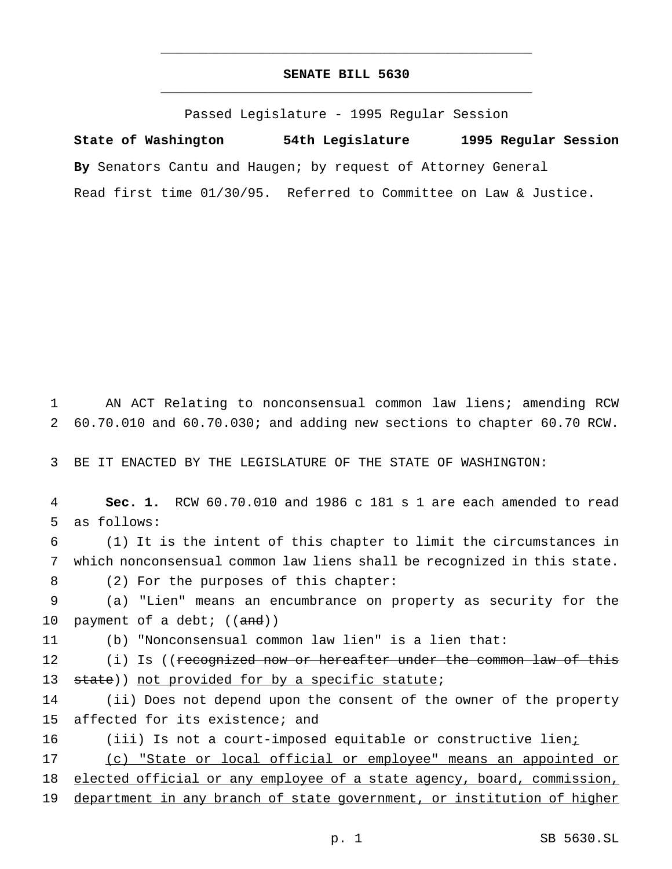# **SENATE BILL 5630** \_\_\_\_\_\_\_\_\_\_\_\_\_\_\_\_\_\_\_\_\_\_\_\_\_\_\_\_\_\_\_\_\_\_\_\_\_\_\_\_\_\_\_\_\_\_\_

\_\_\_\_\_\_\_\_\_\_\_\_\_\_\_\_\_\_\_\_\_\_\_\_\_\_\_\_\_\_\_\_\_\_\_\_\_\_\_\_\_\_\_\_\_\_\_

Passed Legislature - 1995 Regular Session

**State of Washington 54th Legislature 1995 Regular Session By** Senators Cantu and Haugen; by request of Attorney General Read first time 01/30/95. Referred to Committee on Law & Justice.

1 AN ACT Relating to nonconsensual common law liens; amending RCW 2 60.70.010 and 60.70.030; and adding new sections to chapter 60.70 RCW.

3 BE IT ENACTED BY THE LEGISLATURE OF THE STATE OF WASHINGTON:

4 **Sec. 1.** RCW 60.70.010 and 1986 c 181 s 1 are each amended to read 5 as follows:

6 (1) It is the intent of this chapter to limit the circumstances in 7 which nonconsensual common law liens shall be recognized in this state.

8 (2) For the purposes of this chapter:

9 (a) "Lien" means an encumbrance on property as security for the 10 payment of a debt;  $((and))$ 

11 (b) "Nonconsensual common law lien" is a lien that:

12 (i) Is ((recognized now or hereafter under the common law of this 13 state)) not provided for by a specific statute;

14 (ii) Does not depend upon the consent of the owner of the property 15 affected for its existence; and

16 (iii) Is not a court-imposed equitable or constructive lien<sub>i</sub>

17 (c) "State or local official or employee" means an appointed or

18 elected official or any employee of a state agency, board, commission,

19 department in any branch of state government, or institution of higher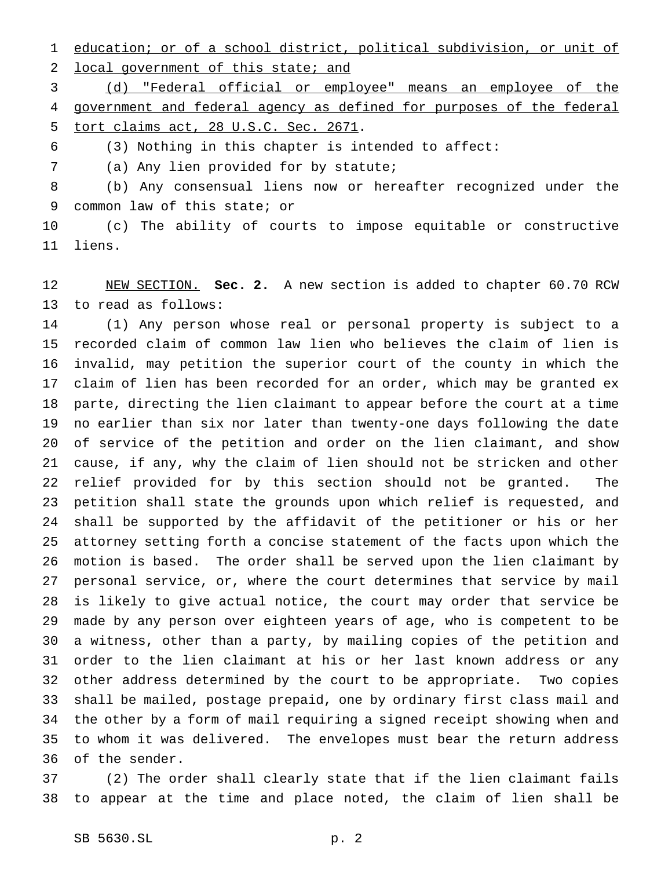education; or of a school district, political subdivision, or unit of

local government of this state; and

 (d) "Federal official or employee" means an employee of the government and federal agency as defined for purposes of the federal tort claims act, 28 U.S.C. Sec. 2671.

(3) Nothing in this chapter is intended to affect:

(a) Any lien provided for by statute;

 (b) Any consensual liens now or hereafter recognized under the common law of this state; or

 (c) The ability of courts to impose equitable or constructive liens.

 NEW SECTION. **Sec. 2.** A new section is added to chapter 60.70 RCW to read as follows:

 (1) Any person whose real or personal property is subject to a recorded claim of common law lien who believes the claim of lien is invalid, may petition the superior court of the county in which the claim of lien has been recorded for an order, which may be granted ex parte, directing the lien claimant to appear before the court at a time no earlier than six nor later than twenty-one days following the date of service of the petition and order on the lien claimant, and show cause, if any, why the claim of lien should not be stricken and other relief provided for by this section should not be granted. The petition shall state the grounds upon which relief is requested, and shall be supported by the affidavit of the petitioner or his or her attorney setting forth a concise statement of the facts upon which the motion is based. The order shall be served upon the lien claimant by personal service, or, where the court determines that service by mail is likely to give actual notice, the court may order that service be made by any person over eighteen years of age, who is competent to be a witness, other than a party, by mailing copies of the petition and order to the lien claimant at his or her last known address or any other address determined by the court to be appropriate. Two copies shall be mailed, postage prepaid, one by ordinary first class mail and the other by a form of mail requiring a signed receipt showing when and to whom it was delivered. The envelopes must bear the return address of the sender.

 (2) The order shall clearly state that if the lien claimant fails to appear at the time and place noted, the claim of lien shall be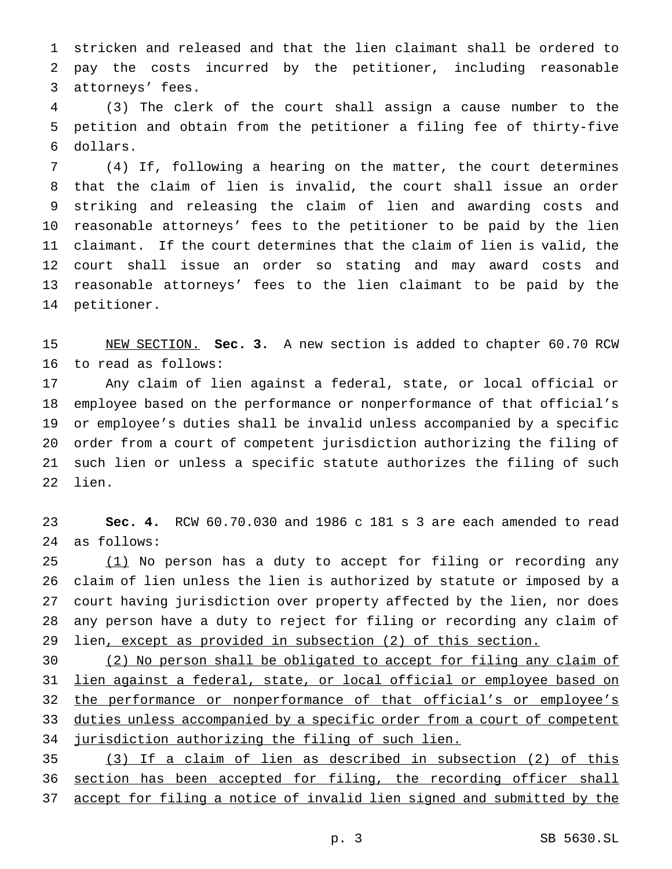stricken and released and that the lien claimant shall be ordered to pay the costs incurred by the petitioner, including reasonable attorneys' fees.

 (3) The clerk of the court shall assign a cause number to the petition and obtain from the petitioner a filing fee of thirty-five dollars.

 (4) If, following a hearing on the matter, the court determines that the claim of lien is invalid, the court shall issue an order striking and releasing the claim of lien and awarding costs and reasonable attorneys' fees to the petitioner to be paid by the lien claimant. If the court determines that the claim of lien is valid, the court shall issue an order so stating and may award costs and reasonable attorneys' fees to the lien claimant to be paid by the petitioner.

 NEW SECTION. **Sec. 3.** A new section is added to chapter 60.70 RCW to read as follows:

 Any claim of lien against a federal, state, or local official or employee based on the performance or nonperformance of that official's or employee's duties shall be invalid unless accompanied by a specific order from a court of competent jurisdiction authorizing the filing of such lien or unless a specific statute authorizes the filing of such lien.

 **Sec. 4.** RCW 60.70.030 and 1986 c 181 s 3 are each amended to read as follows:

 (1) No person has a duty to accept for filing or recording any claim of lien unless the lien is authorized by statute or imposed by a court having jurisdiction over property affected by the lien, nor does any person have a duty to reject for filing or recording any claim of lien, except as provided in subsection (2) of this section.

 (2) No person shall be obligated to accept for filing any claim of lien against a federal, state, or local official or employee based on 32 the performance or nonperformance of that official's or employee's duties unless accompanied by a specific order from a court of competent jurisdiction authorizing the filing of such lien.

 (3) If a claim of lien as described in subsection (2) of this section has been accepted for filing, the recording officer shall accept for filing a notice of invalid lien signed and submitted by the